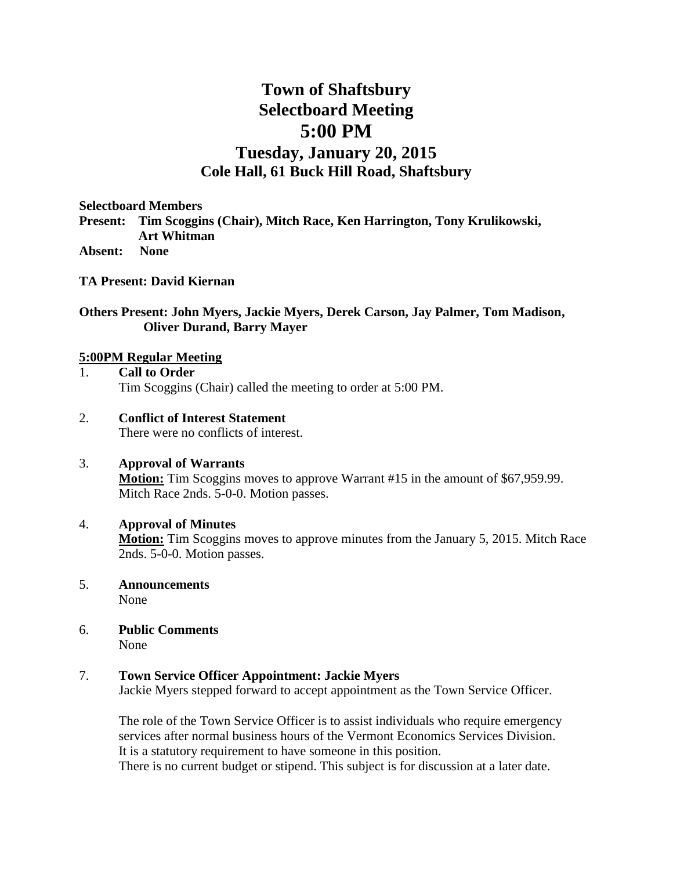## **Town of Shaftsbury Selectboard Meeting 5:00 PM**

### **Tuesday, January 20, 2015 Cole Hall, 61 Buck Hill Road, Shaftsbury**

**Selectboard Members** 

**Present: Tim Scoggins (Chair), Mitch Race, Ken Harrington, Tony Krulikowski, Art Whitman**

**Absent: None**

**TA Present: David Kiernan**

#### **Others Present: John Myers, Jackie Myers, Derek Carson, Jay Palmer, Tom Madison, Oliver Durand, Barry Mayer**

#### **5:00PM Regular Meeting**

1. **Call to Order** Tim Scoggins (Chair) called the meeting to order at 5:00 PM.

#### 2. **Conflict of Interest Statement** There were no conflicts of interest.

#### 3. **Approval of Warrants**

**Motion:** Tim Scoggins moves to approve Warrant #15 in the amount of \$67,959.99. Mitch Race 2nds. 5-0-0. Motion passes.

#### 4. **Approval of Minutes**

**Motion:** Tim Scoggins moves to approve minutes from the January 5, 2015. Mitch Race 2nds. 5-0-0. Motion passes.

5. **Announcements** 

None

6. **Public Comments** None

#### 7. **Town Service Officer Appointment: Jackie Myers**

Jackie Myers stepped forward to accept appointment as the Town Service Officer.

The role of the Town Service Officer is to assist individuals who require emergency services after normal business hours of the Vermont Economics Services Division. It is a statutory requirement to have someone in this position.

There is no current budget or stipend. This subject is for discussion at a later date.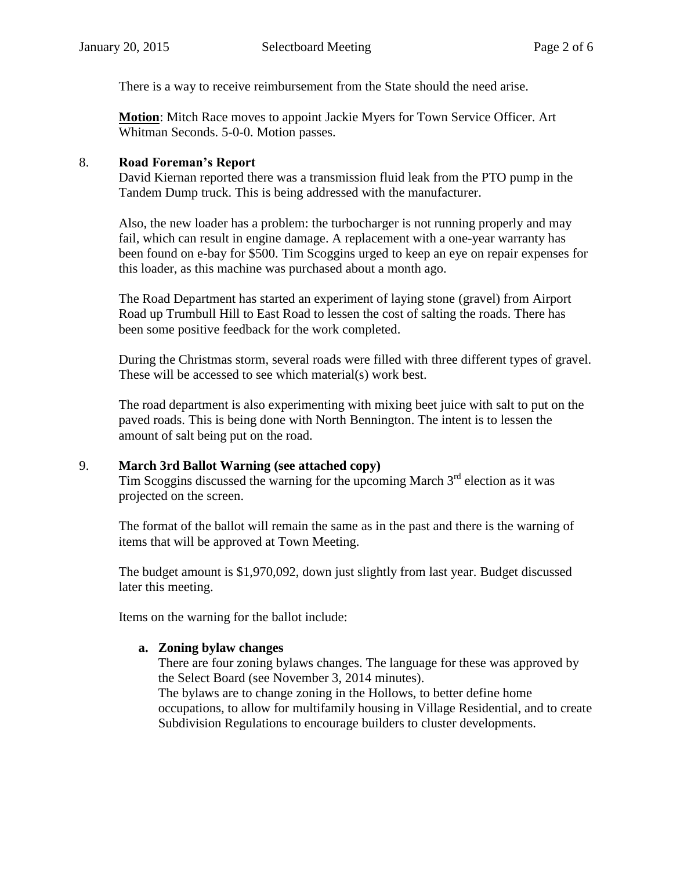There is a way to receive reimbursement from the State should the need arise.

**Motion**: Mitch Race moves to appoint Jackie Myers for Town Service Officer. Art Whitman Seconds. 5-0-0. Motion passes.

#### 8. **Road Foreman's Report**

David Kiernan reported there was a transmission fluid leak from the PTO pump in the Tandem Dump truck. This is being addressed with the manufacturer.

Also, the new loader has a problem: the turbocharger is not running properly and may fail, which can result in engine damage. A replacement with a one-year warranty has been found on e-bay for \$500. Tim Scoggins urged to keep an eye on repair expenses for this loader, as this machine was purchased about a month ago.

The Road Department has started an experiment of laying stone (gravel) from Airport Road up Trumbull Hill to East Road to lessen the cost of salting the roads. There has been some positive feedback for the work completed.

During the Christmas storm, several roads were filled with three different types of gravel. These will be accessed to see which material(s) work best.

The road department is also experimenting with mixing beet juice with salt to put on the paved roads. This is being done with North Bennington. The intent is to lessen the amount of salt being put on the road.

#### 9. **March 3rd Ballot Warning (see attached copy)**

Tim Scoggins discussed the warning for the upcoming March  $3<sup>rd</sup>$  election as it was projected on the screen.

The format of the ballot will remain the same as in the past and there is the warning of items that will be approved at Town Meeting.

The budget amount is \$1,970,092, down just slightly from last year. Budget discussed later this meeting.

Items on the warning for the ballot include:

#### **a. Zoning bylaw changes**

There are four zoning bylaws changes. The language for these was approved by the Select Board (see November 3, 2014 minutes). The bylaws are to change zoning in the Hollows, to better define home occupations, to allow for multifamily housing in Village Residential, and to create Subdivision Regulations to encourage builders to cluster developments.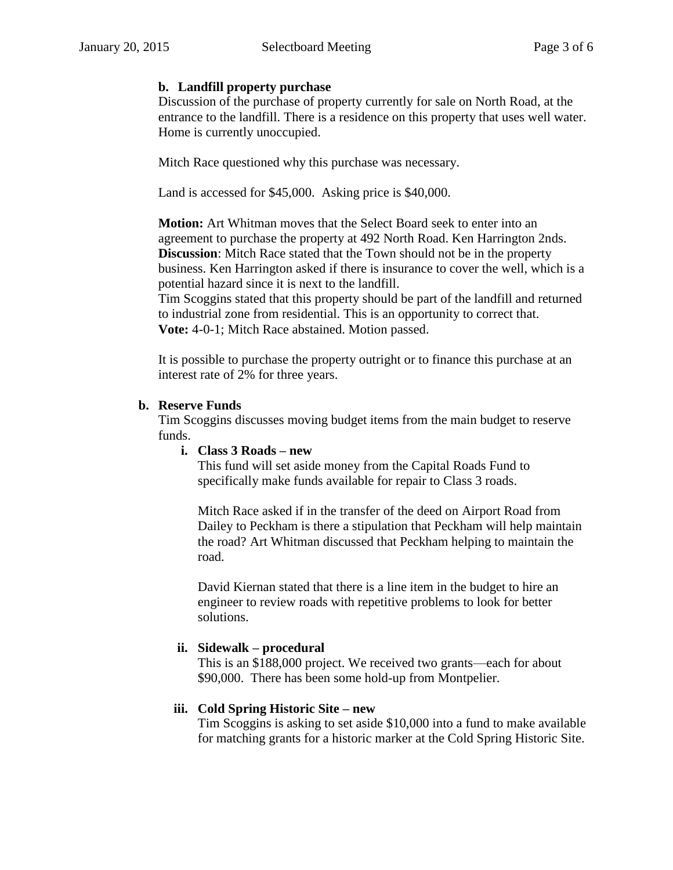#### **b. Landfill property purchase**

Discussion of the purchase of property currently for sale on North Road, at the entrance to the landfill. There is a residence on this property that uses well water. Home is currently unoccupied.

Mitch Race questioned why this purchase was necessary.

Land is accessed for \$45,000. Asking price is \$40,000.

**Motion:** Art Whitman moves that the Select Board seek to enter into an agreement to purchase the property at 492 North Road. Ken Harrington 2nds. **Discussion**: Mitch Race stated that the Town should not be in the property business. Ken Harrington asked if there is insurance to cover the well, which is a potential hazard since it is next to the landfill.

Tim Scoggins stated that this property should be part of the landfill and returned to industrial zone from residential. This is an opportunity to correct that. **Vote:** 4-0-1; Mitch Race abstained. Motion passed.

It is possible to purchase the property outright or to finance this purchase at an interest rate of 2% for three years.

#### **b. Reserve Funds**

Tim Scoggins discusses moving budget items from the main budget to reserve funds.

#### **i. Class 3 Roads – new**

This fund will set aside money from the Capital Roads Fund to specifically make funds available for repair to Class 3 roads.

Mitch Race asked if in the transfer of the deed on Airport Road from Dailey to Peckham is there a stipulation that Peckham will help maintain the road? Art Whitman discussed that Peckham helping to maintain the road.

David Kiernan stated that there is a line item in the budget to hire an engineer to review roads with repetitive problems to look for better solutions.

#### **ii. Sidewalk – procedural**

This is an \$188,000 project. We received two grants—each for about \$90,000. There has been some hold-up from Montpelier.

#### **iii. Cold Spring Historic Site – new**

Tim Scoggins is asking to set aside \$10,000 into a fund to make available for matching grants for a historic marker at the Cold Spring Historic Site.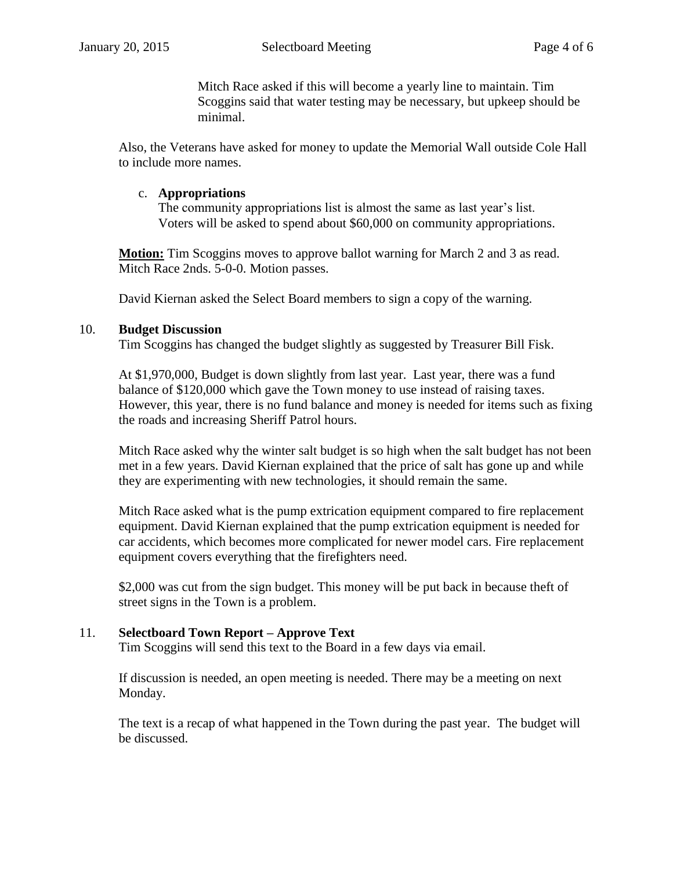Mitch Race asked if this will become a yearly line to maintain. Tim Scoggins said that water testing may be necessary, but upkeep should be minimal.

Also, the Veterans have asked for money to update the Memorial Wall outside Cole Hall to include more names.

#### c. **Appropriations**

The community appropriations list is almost the same as last year's list. Voters will be asked to spend about \$60,000 on community appropriations.

**Motion:** Tim Scoggins moves to approve ballot warning for March 2 and 3 as read. Mitch Race 2nds. 5-0-0. Motion passes.

David Kiernan asked the Select Board members to sign a copy of the warning.

#### 10. **Budget Discussion**

Tim Scoggins has changed the budget slightly as suggested by Treasurer Bill Fisk.

At \$1,970,000, Budget is down slightly from last year. Last year, there was a fund balance of \$120,000 which gave the Town money to use instead of raising taxes. However, this year, there is no fund balance and money is needed for items such as fixing the roads and increasing Sheriff Patrol hours.

Mitch Race asked why the winter salt budget is so high when the salt budget has not been met in a few years. David Kiernan explained that the price of salt has gone up and while they are experimenting with new technologies, it should remain the same.

Mitch Race asked what is the pump extrication equipment compared to fire replacement equipment. David Kiernan explained that the pump extrication equipment is needed for car accidents, which becomes more complicated for newer model cars. Fire replacement equipment covers everything that the firefighters need.

\$2,000 was cut from the sign budget. This money will be put back in because theft of street signs in the Town is a problem.

#### 11. **Selectboard Town Report – Approve Text**

Tim Scoggins will send this text to the Board in a few days via email.

If discussion is needed, an open meeting is needed. There may be a meeting on next Monday.

The text is a recap of what happened in the Town during the past year. The budget will be discussed.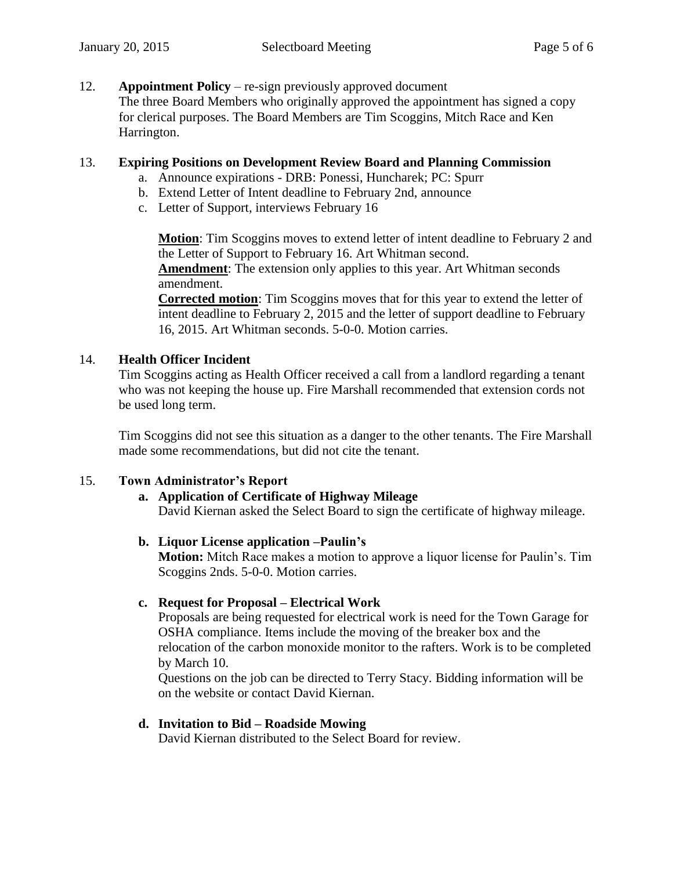#### 12. **Appointment Policy** – re-sign previously approved document

The three Board Members who originally approved the appointment has signed a copy for clerical purposes. The Board Members are Tim Scoggins, Mitch Race and Ken Harrington.

#### 13. **Expiring Positions on Development Review Board and Planning Commission**

- a. Announce expirations DRB: Ponessi, Huncharek; PC: Spurr
- b. Extend Letter of Intent deadline to February 2nd, announce
- c. Letter of Support, interviews February 16

**Motion**: Tim Scoggins moves to extend letter of intent deadline to February 2 and the Letter of Support to February 16. Art Whitman second. **Amendment**: The extension only applies to this year. Art Whitman seconds amendment.

**Corrected motion**: Tim Scoggins moves that for this year to extend the letter of intent deadline to February 2, 2015 and the letter of support deadline to February 16, 2015. Art Whitman seconds. 5-0-0. Motion carries.

#### 14. **Health Officer Incident**

Tim Scoggins acting as Health Officer received a call from a landlord regarding a tenant who was not keeping the house up. Fire Marshall recommended that extension cords not be used long term.

Tim Scoggins did not see this situation as a danger to the other tenants. The Fire Marshall made some recommendations, but did not cite the tenant.

#### 15. **Town Administrator's Report**

# **a. Application of Certificate of Highway Mileage**

David Kiernan asked the Select Board to sign the certificate of highway mileage.

#### **b. Liquor License application –Paulin's**

**Motion:** Mitch Race makes a motion to approve a liquor license for Paulin's. Tim Scoggins 2nds. 5-0-0. Motion carries.

#### **c. Request for Proposal – Electrical Work**

Proposals are being requested for electrical work is need for the Town Garage for OSHA compliance. Items include the moving of the breaker box and the relocation of the carbon monoxide monitor to the rafters. Work is to be completed by March 10.

Questions on the job can be directed to Terry Stacy. Bidding information will be on the website or contact David Kiernan.

#### **d. Invitation to Bid – Roadside Mowing**

David Kiernan distributed to the Select Board for review.